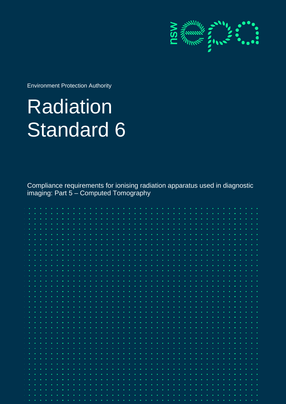

Environment Protection Authority

# Radiation Standard 6

Compliance requirements for ionising radiation apparatus used in diagnostic imaging: Part 5 – Computed Tomography

| $\alpha = 0.0001$                                     |  |  |  |  |  |  |                                                 |  |  |  |                                                                                                                                                                                                                               |  |  |  |  |  |  |  |  |  |  |
|-------------------------------------------------------|--|--|--|--|--|--|-------------------------------------------------|--|--|--|-------------------------------------------------------------------------------------------------------------------------------------------------------------------------------------------------------------------------------|--|--|--|--|--|--|--|--|--|--|
| $\alpha$ , $\alpha$ , $\alpha$ , $\alpha$ , $\alpha$  |  |  |  |  |  |  |                                                 |  |  |  |                                                                                                                                                                                                                               |  |  |  |  |  |  |  |  |  |  |
| $\alpha$ , $\alpha$ , $\alpha$ , $\alpha$ , $\alpha$  |  |  |  |  |  |  |                                                 |  |  |  |                                                                                                                                                                                                                               |  |  |  |  |  |  |  |  |  |  |
| $\alpha$ , and $\alpha$ , and $\alpha$                |  |  |  |  |  |  |                                                 |  |  |  |                                                                                                                                                                                                                               |  |  |  |  |  |  |  |  |  |  |
| $\alpha$ , $\alpha$ , $\alpha$ , $\alpha$ , $\alpha$  |  |  |  |  |  |  |                                                 |  |  |  |                                                                                                                                                                                                                               |  |  |  |  |  |  |  |  |  |  |
| $\alpha$ , $\alpha$ , and $\alpha$                    |  |  |  |  |  |  |                                                 |  |  |  |                                                                                                                                                                                                                               |  |  |  |  |  |  |  |  |  |  |
|                                                       |  |  |  |  |  |  |                                                 |  |  |  |                                                                                                                                                                                                                               |  |  |  |  |  |  |  |  |  |  |
| $\mathcal{F}=\{0,1\}$ , and                           |  |  |  |  |  |  | the company of the company of the               |  |  |  | the contract of the contract of the contract of the contract of                                                                                                                                                               |  |  |  |  |  |  |  |  |  |  |
| $\mathbf{u} = \mathbf{u} + \mathbf{u}$ . In (         |  |  |  |  |  |  |                                                 |  |  |  |                                                                                                                                                                                                                               |  |  |  |  |  |  |  |  |  |  |
|                                                       |  |  |  |  |  |  |                                                 |  |  |  | the company of the company of the company of the company of the company of the company of the company of the company of the company of the company of the company of the company of the company of the company of the company |  |  |  |  |  |  |  |  |  |  |
| $\mathbf{u} = \mathbf{u} + \mathbf{u} + \mathbf{u}$ . |  |  |  |  |  |  | the contract of the contract of the contract of |  |  |  |                                                                                                                                                                                                                               |  |  |  |  |  |  |  |  |  |  |
| $\alpha$ , $\alpha$ , $\alpha$ , $\alpha$ , $\alpha$  |  |  |  |  |  |  |                                                 |  |  |  |                                                                                                                                                                                                                               |  |  |  |  |  |  |  |  |  |  |
| $\alpha$ , $\alpha$ , $\alpha$ , $\alpha$ , $\alpha$  |  |  |  |  |  |  |                                                 |  |  |  |                                                                                                                                                                                                                               |  |  |  |  |  |  |  |  |  |  |
|                                                       |  |  |  |  |  |  |                                                 |  |  |  |                                                                                                                                                                                                                               |  |  |  |  |  |  |  |  |  |  |
|                                                       |  |  |  |  |  |  |                                                 |  |  |  |                                                                                                                                                                                                                               |  |  |  |  |  |  |  |  |  |  |
|                                                       |  |  |  |  |  |  |                                                 |  |  |  |                                                                                                                                                                                                                               |  |  |  |  |  |  |  |  |  |  |
|                                                       |  |  |  |  |  |  |                                                 |  |  |  |                                                                                                                                                                                                                               |  |  |  |  |  |  |  |  |  |  |
|                                                       |  |  |  |  |  |  |                                                 |  |  |  |                                                                                                                                                                                                                               |  |  |  |  |  |  |  |  |  |  |
|                                                       |  |  |  |  |  |  |                                                 |  |  |  |                                                                                                                                                                                                                               |  |  |  |  |  |  |  |  |  |  |
|                                                       |  |  |  |  |  |  |                                                 |  |  |  |                                                                                                                                                                                                                               |  |  |  |  |  |  |  |  |  |  |
|                                                       |  |  |  |  |  |  |                                                 |  |  |  |                                                                                                                                                                                                                               |  |  |  |  |  |  |  |  |  |  |
|                                                       |  |  |  |  |  |  |                                                 |  |  |  |                                                                                                                                                                                                                               |  |  |  |  |  |  |  |  |  |  |
|                                                       |  |  |  |  |  |  |                                                 |  |  |  |                                                                                                                                                                                                                               |  |  |  |  |  |  |  |  |  |  |
|                                                       |  |  |  |  |  |  |                                                 |  |  |  |                                                                                                                                                                                                                               |  |  |  |  |  |  |  |  |  |  |
|                                                       |  |  |  |  |  |  |                                                 |  |  |  |                                                                                                                                                                                                                               |  |  |  |  |  |  |  |  |  |  |
|                                                       |  |  |  |  |  |  |                                                 |  |  |  |                                                                                                                                                                                                                               |  |  |  |  |  |  |  |  |  |  |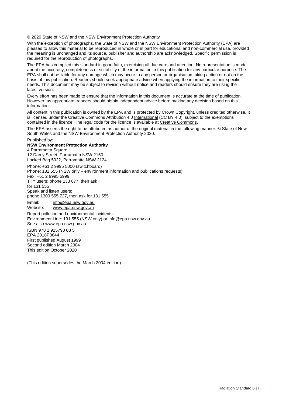© 2020 State of NSW and the NSW Environment Protection Authority

With the exception of photographs, the State of NSW and the NSW Environment Protection Authority (EPA) are pleased to allow this material to be reproduced in whole or in part for educational and non-commercial use, provided the meaning is unchanged and its source, publisher and authorship are acknowledged. Specific permission is required for the reproduction of photographs.

The EPA has compiled this standard in good faith, exercising all due care and attention. No representation is made about the accuracy, completeness or suitability of the information in this publication for any particular purpose. The EPA shall not be liable for any damage which may occur to any person or organisation taking action or not on the basis of this publication. Readers should seek appropriate advice when applying the information to their specific needs. This document may be subject to revision without notice and readers should ensure they are using the latest version.

Every effort has been made to ensure that the information in this document is accurate at the time of publication. However, as appropriate, readers should obtain independent advice before making any decision based on this information.

All content in this publication is owned by the EPA and is protected by Crown Copyright, unless credited otherwise. It is licensed under the Creative Commons Attribution 4.0 [International](http://creativecommons.org/licenses/by/4.0/deed.en) (CC BY 4.0), subject to the exemptions contained in the licence. The legal code for the licence is available at [Creative Commons.](http://creativecommons.org/licenses/by/4.0/legalcode)

The EPA asserts the right to be attributed as author of the original material in the following manner: © State of New South Wales and the NSW Environment Protection Authority 2020.

Published by:

#### **NSW Environment Protection Authority**

4 Parramatta Square 12 Darcy Street, Parramatta NSW 2150 Locked Bag 5022, Parramatta NSW 2124

Phone: +61 2 9995 5000 (switchboard) Phone: 131 555 (NSW only – environment information and publications requests) Fax: +61 2 9995 5999 TTY users: phone 133 677, then ask for 131 555 Speak and listen users: phone 1300 555 727, then ask for 131 555

Email: info@epa.nsw.gov.au<br>Website: www.epa.nsw.gov.au [www.epa.nsw.gov.au](http://www.epa.nsw.gov.au/)

Report pollution and environmental incidents Environment Line: 131 555 (NSW only) or [info@epa.nsw.gov.au](mailto:info@epa.nsw.gov.au) See also [www.epa.nsw.gov.au](http://www.epa.nsw.gov.au/) 

ISBN 978 1 925790 08 5 EPA 2018P0644 First published August 1999 Second edition March 2004 This edition October 2020

(This edition supersedes the March 2004 edition)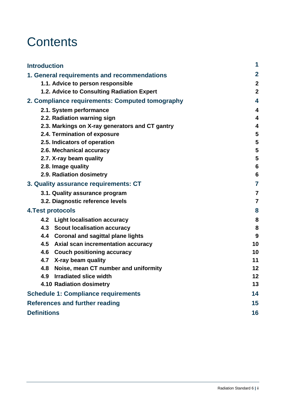## <span id="page-2-0"></span>**Contents**

| <b>Introduction</b>                             |                |  |  |  |  |  |
|-------------------------------------------------|----------------|--|--|--|--|--|
| 1. General requirements and recommendations     | $\overline{2}$ |  |  |  |  |  |
| 1.1. Advice to person responsible               | $\overline{2}$ |  |  |  |  |  |
| 1.2. Advice to Consulting Radiation Expert      | $\overline{2}$ |  |  |  |  |  |
| 2. Compliance requirements: Computed tomography | 4              |  |  |  |  |  |
| 2.1. System performance                         | 4              |  |  |  |  |  |
| 2.2. Radiation warning sign                     | 4              |  |  |  |  |  |
| 2.3. Markings on X-ray generators and CT gantry | 4              |  |  |  |  |  |
| 2.4. Termination of exposure                    | 5              |  |  |  |  |  |
| 2.5. Indicators of operation                    | 5              |  |  |  |  |  |
| 2.6. Mechanical accuracy                        | 5              |  |  |  |  |  |
| 2.7. X-ray beam quality                         | 5              |  |  |  |  |  |
| 2.8. Image quality                              | 6              |  |  |  |  |  |
| 2.9. Radiation dosimetry                        | 6              |  |  |  |  |  |
| 3. Quality assurance requirements: CT           | 7              |  |  |  |  |  |
| 3.1. Quality assurance program                  | $\overline{7}$ |  |  |  |  |  |
| 3.2. Diagnostic reference levels                | $\overline{7}$ |  |  |  |  |  |
| <b>4. Test protocols</b>                        | 8              |  |  |  |  |  |
| 4.2 Light localisation accuracy                 | 8              |  |  |  |  |  |
| 4.3 Scout localisation accuracy                 | 8              |  |  |  |  |  |
| 4.4 Coronal and sagittal plane lights           | 9              |  |  |  |  |  |
| 4.5 Axial scan incrementation accuracy          | 10             |  |  |  |  |  |
| 4.6 Couch positioning accuracy                  | 10             |  |  |  |  |  |
| 4.7 X-ray beam quality                          | 11             |  |  |  |  |  |
| 4.8 Noise, mean CT number and uniformity        | 12             |  |  |  |  |  |
| 4.9 Irradiated slice width                      | 12             |  |  |  |  |  |
| <b>4.10 Radiation dosimetry</b>                 | 13             |  |  |  |  |  |
| <b>Schedule 1: Compliance requirements</b>      |                |  |  |  |  |  |
| <b>References and further reading</b>           |                |  |  |  |  |  |
| <b>Definitions</b>                              |                |  |  |  |  |  |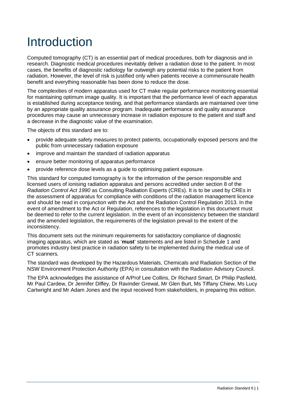## <span id="page-3-0"></span>Introduction

Computed tomography (CT) is an essential part of medical procedures, both for diagnosis and in research. Diagnostic medical procedures inevitably deliver a radiation dose to the patient. In most cases, the benefits of diagnostic radiology far outweigh any potential risks to the patient from radiation. However, the level of risk is justified only when patients receive a commensurate health benefit and everything reasonable has been done to reduce the dose.

The complexities of modern apparatus used for CT make regular performance monitoring essential for maintaining optimum image quality. It is important that the performance level of each apparatus is established during acceptance testing, and that performance standards are maintained over time by an appropriate quality assurance program. Inadequate performance and quality assurance procedures may cause an unnecessary increase in radiation exposure to the patient and staff and a decrease in the diagnostic value of the examination.

The objects of this standard are to:

- provide adequate safety measures to protect patients, occupationally exposed persons and the public from unnecessary radiation exposure
- improve and maintain the standard of radiation apparatus
- ensure better monitoring of apparatus performance
- provide reference dose levels as a guide to optimising patient exposure.

This standard for computed tomography is for the information of the person responsible and licensed users of ionising radiation apparatus and persons accredited under section 8 of the *Radiation Control Act 1990* as Consulting Radiation Experts (CREs). It is to be used by CREs in the assessment of apparatus for compliance with conditions of the radiation management licence and should be read in conjunction with the Act and the Radiation Control Regulation 2013. In the event of amendment to the Act or Regulation, references to the legislation in this document must be deemed to refer to the current legislation. In the event of an inconsistency between the standard and the amended legislation, the requirements of the legislation prevail to the extent of the inconsistency.

This document sets out the minimum requirements for satisfactory compliance of diagnostic imaging apparatus, which are stated as '**must**' statements and are listed in Schedule 1 and promotes industry best practice in radiation safety to be implemented during the medical use of CT scanners.

The standard was developed by the Hazardous Materials, Chemicals and Radiation Section of the NSW Environment Protection Authority (EPA) in consultation with the Radiation Advisory Council.

The EPA acknowledges the assistance of A/Prof Lee Collins, Dr Richard Smart, Dr Philip Pasfield, Mr Paul Cardew, Dr Jennifer Diffey, Dr Ravinder Grewal, Mr Glen Burt, Ms Tiffany Chiew, Ms Lucy Cartwright and Mr Adam Jones and the input received from stakeholders, in preparing this edition.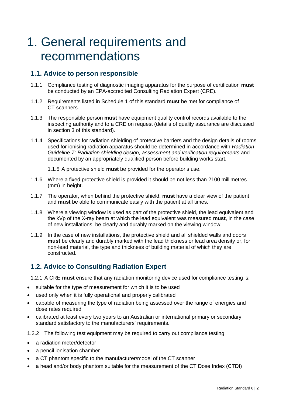## <span id="page-4-0"></span>1. General requirements and recommendations

## <span id="page-4-1"></span>**1.1. Advice to person responsible**

- 1.1.1 Compliance testing of diagnostic imaging apparatus for the purpose of certification **must** be conducted by an EPA-accredited Consulting Radiation Expert (CRE).
- 1.1.2 Requirements listed in Schedule 1 of this standard **must** be met for compliance of CT scanners.
- 1.1.3 The responsible person **must** have equipment quality control records available to the inspecting authority and to a CRE on request (details of quality assurance are discussed in section 3 of this standard).
- 1.1.4 Specifications for radiation shielding of protective barriers and the design details of rooms used for ionising radiation apparatus should be determined in accordance with *Radiation Guideline 7: Radiation shielding design, assessment and verification requirements* and documented by an appropriately qualified person before building works start.

1.1.5 A protective shield **must** be provided for the operator's use.

- 1.1.6 Where a fixed protective shield is provided it should be not less than 2100 millimetres (mm) in height.
- 1.1.7 The operator, when behind the protective shield, **must** have a clear view of the patient and **must** be able to communicate easily with the patient at all times.
- 1.1.8 Where a viewing window is used as part of the protective shield, the lead equivalent and the kVp of the X-ray beam at which the lead equivalent was measured **must**, in the case of new installations, be clearly and durably marked on the viewing window.
- 1.1.9 In the case of new installations, the protective shield and all shielded walls and doors **must** be clearly and durably marked with the lead thickness or lead area density or, for non-lead material, the type and thickness of building material of which they are constructed.

## <span id="page-4-2"></span>**1.2. Advice to Consulting Radiation Expert**

1.2.1 A CRE **must** ensure that any radiation monitoring device used for compliance testing is:

- suitable for the type of measurement for which it is to be used
- used only when it is fully operational and properly calibrated
- capable of measuring the type of radiation being assessed over the range of energies and dose rates required
- calibrated at least every two years to an Australian or international primary or secondary standard satisfactory to the manufacturers' requirements.

1.2.2 The following test equipment may be required to carry out compliance testing:

- a radiation meter/detector
- a pencil ionisation chamber
- a CT phantom specific to the manufacturer/model of the CT scanner
- a head and/or body phantom suitable for the measurement of the CT Dose Index (CTDI)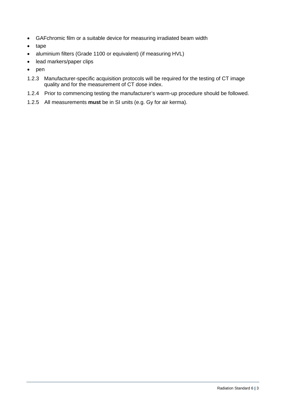- GAFchromic film or a suitable device for measuring irradiated beam width
- tape
- aluminium filters (Grade 1100 or equivalent) (if measuring HVL)
- lead markers/paper clips
- pen
- 1.2.3 Manufacturer-specific acquisition protocols will be required for the testing of CT image quality and for the measurement of CT dose index.
- 1.2.4 Prior to commencing testing the manufacturer's warm-up procedure should be followed.
- 1.2.5 All measurements **must** be in SI units (e.g. Gy for air kerma).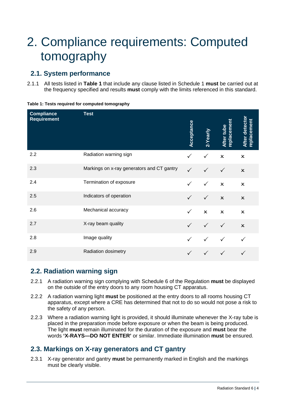## <span id="page-6-0"></span>2. Compliance requirements: Computed tomography

## <span id="page-6-1"></span>**2.1. System performance**

2.1.1 All tests listed in **Table 1** that include any clause listed in Schedule 1 **must** be carried out at the frequency specified and results **must** comply with the limits referenced in this standard.

| <b>Compliance</b><br><b>Requirement</b> | <b>Test</b>                                | Acceptance   | 2-Yearly                  | replacement<br>After tube | <b>After detector</b><br>replacement |
|-----------------------------------------|--------------------------------------------|--------------|---------------------------|---------------------------|--------------------------------------|
| 2.2                                     | Radiation warning sign                     |              | $\checkmark$              | $\pmb{\times}$            | $\pmb{\times}$                       |
| 2.3                                     | Markings on x-ray generators and CT gantry | $\checkmark$ | $\checkmark$              | $\checkmark$              | $\pmb{\times}$                       |
| 2.4                                     | Termination of exposure                    |              | $\checkmark$              | $\pmb{\times}$            | $\pmb{\times}$                       |
| 2.5                                     | Indicators of operation                    |              | $\checkmark$              | $\pmb{\times}$            | $\pmb{\times}$                       |
| 2.6                                     | Mechanical accuracy                        |              | $\boldsymbol{\mathsf{x}}$ | $\boldsymbol{\mathsf{x}}$ | $\pmb{\times}$                       |
| 2.7                                     | X-ray beam quality                         |              | $\checkmark$              | $\checkmark$              | $\boldsymbol{\mathsf{x}}$            |
| 2.8                                     | Image quality                              |              | $\checkmark$              | $\checkmark$              |                                      |
| 2.9                                     | Radiation dosimetry                        |              | $\checkmark$              | $\checkmark$              |                                      |

|  |  | Table 1: Tests required for computed tomography |
|--|--|-------------------------------------------------|
|  |  |                                                 |

## <span id="page-6-2"></span>**2.2. Radiation warning sign**

- 2.2.1 A radiation warning sign complying with Schedule 6 of the Regulation **must** be displayed on the outside of the entry doors to any room housing CT apparatus.
- 2.2.2 A radiation warning light **must** be positioned at the entry doors to all rooms housing CT apparatus, except where a CRE has determined that not to do so would not pose a risk to the safety of any person.
- 2.2.3 Where a radiation warning light is provided, it should illuminate whenever the X-ray tube is placed in the preparation mode before exposure or when the beam is being produced. The light **must** remain illuminated for the duration of the exposure and **must** bear the words **'X-RAYS—DO NOT ENTER'** or similar. Immediate illumination **must** be ensured.

## <span id="page-6-3"></span>**2.3. Markings on X-ray generators and CT gantry**

2.3.1 X-ray generator and gantry **must** be permanently marked in English and the markings must be clearly visible.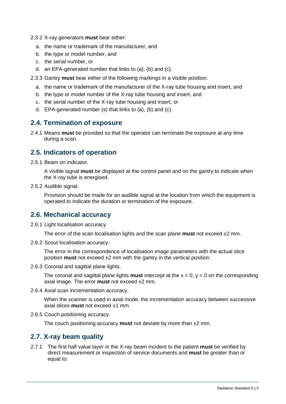- 2.3.2 X-ray generators **must** bear either:
	- a. the name or trademark of the manufacturer, and
	- b. the type or model number, and
	- c. the serial number, or
	- d. an EPA-generated number that links to (a), (b) and (c).
- 2.3.3 Gantry **must** bear either of the following markings in a visible position:
	- a. the name or trademark of the manufacturer of the X-ray tube housing and insert, and
	- b. the type or model number of the X-ray tube housing and insert, and
	- c. the serial number of the X-ray tube housing and insert, or
	- d. EPA-generated number (s) that links to (a), (b) and (c).

## <span id="page-7-0"></span>**2.4. Termination of exposure**

2.4.1 Means **must** be provided so that the operator can terminate the exposure at any time during a scan.

## <span id="page-7-1"></span>**2.5. Indicators of operation**

2.5.1 Beam on indicator.

A visible signal **must** be displayed at the control panel and on the gantry to indicate when the X-ray tube is energised.

2.5.2 Audible signal.

Provision should be made for an audible signal at the location from which the equipment is operated to indicate the duration or termination of the exposure.

## <span id="page-7-2"></span>**2.6. Mechanical accuracy**

2.6.1 Light localisation accuracy

The error of the scan localisation lights and the scan plane **must** not exceed ±2 mm.

2.6.2 Scout localisation accuracy.

The error in the correspondence of localisation image parameters with the actual slice position **must** not exceed ±2 mm with the gantry in the vertical position.

2.6.3 Coronal and sagittal plane lights.

The coronal and sagittal plane lights **must** intercept at the  $x = 0$ ,  $y = 0$  on the corresponding axial image. The error **must** not exceed ±2 mm.

2.6.4 Axial scan incrementation accuracy.

When the scanner is used in axial mode, the incrementation accuracy between successive axial slices **must** not exceed ±1 mm.

2.6.5 Couch positioning accuracy.

The couch positioning accuracy **must** not deviate by more than ±2 mm.

## <span id="page-7-3"></span>**2.7. X-ray beam quality**

2.7.1 The first half value layer in the X-ray beam incident to the patient **must** be verified by direct measurement or inspection of service documents and **must** be greater than or equal to: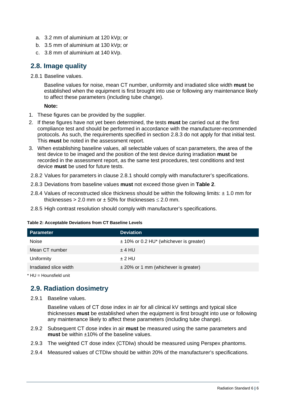- a. 3.2 mm of aluminium at 120 kVp; or
- b. 3.5 mm of aluminium at 130 kVp; or
- c. 3.8 mm of aluminium at 140 kVp.

## <span id="page-8-0"></span>**2.8. Image quality**

#### 2.8.1 Baseline values.

Baseline values for noise, mean CT number, uniformity and irradiated slice width **must** be established when the equipment is first brought into use or following any maintenance likely to affect these parameters (including tube change).

#### **Note:**

- 1. These figures can be provided by the supplier.
- 2. If these figures have not yet been determined, the tests **must** be carried out at the first compliance test and should be performed in accordance with the manufacturer-recommended protocols. As such, the requirements specified in section 2.8.3 do not apply for that initial test. This **must** be noted in the assessment report.
- 3. When establishing baseline values, all selectable values of scan parameters, the area of the test device to be imaged and the position of the test device during irradiation **must** be recorded in the assessment report, as the same test procedures, test conditions and test device **must** be used for future tests.
- 2.8.2 Values for parameters in clause 2.8.1 should comply with manufacturer's specifications.
- 2.8.3 Deviations from baseline values **must** not exceed those given in **Table 2**.
- 2.8.4 Values of reconstructed slice thickness should be within the following limits:  $\pm$  1.0 mm for thicknesses > 2.0 mm or  $\pm$  50% for thicknesses  $\leq$  2.0 mm.
- 2.8.5 High contrast resolution should comply with manufacturer's specifications.

#### **Table 2: Acceptable Deviations from CT Baseline Levels**

| <b>Parameter</b>       | <b>Deviation</b>                                        |
|------------------------|---------------------------------------------------------|
| <b>Noise</b>           | $\pm$ 10% or 0.2 HU <sup>*</sup> (whichever is greater) |
| Mean CT number         | $±$ 4 HU                                                |
| Uniformity             | $± 2$ HU                                                |
| Irradiated slice width | $\pm$ 20% or 1 mm (whichever is greater)                |

<span id="page-8-1"></span>\* HU = Hounsfield unit

## **2.9. Radiation dosimetry**

2.9.1 Baseline values.

Baseline values of CT dose index in air for all clinical kV settings and typical slice thicknesses **must** be established when the equipment is first brought into use or following any maintenance likely to affect these parameters (including tube change).

- 2.9.2 Subsequent CT dose index in air **must** be measured using the same parameters and **must** be within ±10% of the baseline values.
- 2.9.3 The weighted CT dose index (CTDIw) should be measured using Perspex phantoms.
- 2.9.4 Measured values of CTDIw should be within 20% of the manufacturer's specifications.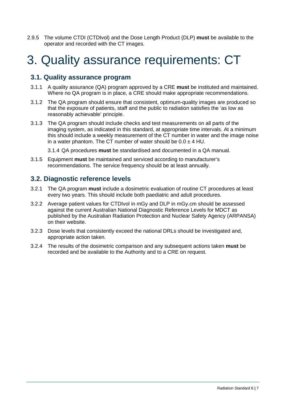2.9.5 The volume CTDI (CTDIvol) and the Dose Length Product (DLP) **must** be available to the operator and recorded with the CT images.

## <span id="page-9-0"></span>3. Quality assurance requirements: CT

## <span id="page-9-1"></span>**3.1. Quality assurance program**

- 3.1.1 A quality assurance (QA) program approved by a CRE **must** be instituted and maintained. Where no QA program is in place, a CRE should make appropriate recommendations.
- 3.1.2 The QA program should ensure that consistent, optimum-quality images are produced so that the exposure of patients, staff and the public to radiation satisfies the 'as low as reasonably achievable' principle.
- 3.1.3 The QA program should include checks and test measurements on all parts of the imaging system, as indicated in this standard, at appropriate time intervals. At a minimum this should include a weekly measurement of the CT number in water and the image noise in a water phantom. The CT number of water should be  $0.0 \pm 4$  HU.

3.1.4 QA procedures **must** be standardised and documented in a QA manual.

3.1.5 Equipment **must** be maintained and serviced according to manufacturer's recommendations. The service frequency should be at least annually.

## <span id="page-9-2"></span>**3.2. Diagnostic reference levels**

- 3.2.1 The QA program **must** include a dosimetric evaluation of routine CT procedures at least every two years. This should include both paediatric and adult procedures.
- 3.2.2 Average patient values for CTDIvol in mGy and DLP in mGy.cm should be assessed against the current Australian National Diagnostic Reference Levels for MDCT as published by the Australian Radiation Protection and Nuclear Safety Agency (ARPANSA) on their website.
- 3.2.3 Dose levels that consistently exceed the national DRLs should be investigated and, appropriate action taken.
- 3.2.4 The results of the dosimetric comparison and any subsequent actions taken **must** be recorded and be available to the Authority and to a CRE on request.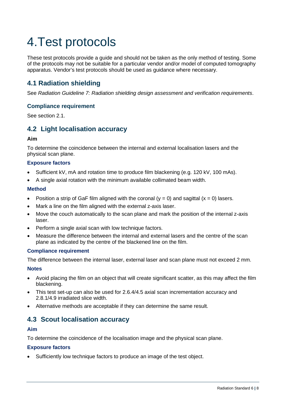## <span id="page-10-0"></span>4.Test protocols

These test protocols provide a guide and should not be taken as the only method of testing. Some of the protocols may not be suitable for a particular vendor and/or model of computed tomography apparatus. Vendor's test protocols should be used as guidance where necessary.

## **4.1 Radiation shielding**

See *Radiation Guideline 7: Radiation shielding design assessment and verification requirements*.

## **Compliance requirement**

See section 2.1.

## <span id="page-10-1"></span>**4.2 Light localisation accuracy**

#### **Aim**

To determine the coincidence between the internal and external localisation lasers and the physical scan plane.

## **Exposure factors**

- Sufficient kV, mA and rotation time to produce film blackening (e.g. 120 kV, 100 mAs).
- A single axial rotation with the minimum available collimated beam width.

## **Method**

- Position a strip of GaF film aligned with the coronal  $(y = 0)$  and sagittal  $(x = 0)$  lasers.
- Mark a line on the film aligned with the external z-axis laser.
- Move the couch automatically to the scan plane and mark the position of the internal z-axis laser.
- Perform a single axial scan with low technique factors.
- Measure the difference between the internal and external lasers and the centre of the scan plane as indicated by the centre of the blackened line on the film.

## **Compliance requirement**

The difference between the internal laser, external laser and scan plane must not exceed 2 mm.

#### **Notes**

- Avoid placing the film on an object that will create significant scatter, as this may affect the film blackening.
- This test set-up can also be used for 2.6.4/4.5 axial scan incrementation accuracy and 2.8.1/4.9 irradiated slice width.
- Alternative methods are acceptable if they can determine the same result.

## <span id="page-10-2"></span>**4.3 Scout localisation accuracy**

## **Aim**

To determine the coincidence of the localisation image and the physical scan plane.

## **Exposure factors**

• Sufficiently low technique factors to produce an image of the test object.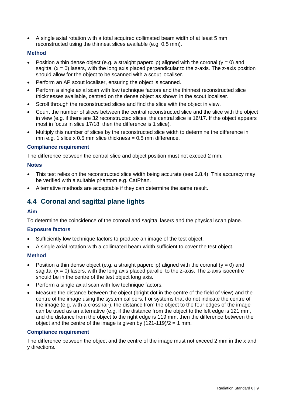• A single axial rotation with a total acquired collimated beam width of at least 5 mm, reconstructed using the thinnest slices available (e.g. 0.5 mm).

## **Method**

- Position a thin dense object (e.g. a straight paperclip) aligned with the coronal ( $v = 0$ ) and sagittal  $(x = 0)$  lasers, with the long axis placed perpendicular to the z-axis. The z-axis position should allow for the object to be scanned with a scout localiser.
- Perform an AP scout localiser, ensuring the object is scanned.
- Perform a single axial scan with low technique factors and the thinnest reconstructed slice thicknesses available, centred on the dense object as shown in the scout localiser.
- Scroll through the reconstructed slices and find the slice with the object in view.
- Count the number of slices between the central reconstructed slice and the slice with the object in view (e.g. if there are 32 reconstructed slices, the central slice is 16/17. If the object appears most in focus in slice 17/18, then the difference is 1 slice).
- Multiply this number of slices by the reconstructed slice width to determine the difference in mm e.g. 1 slice  $x$  0.5 mm slice thickness = 0.5 mm difference.

#### **Compliance requirement**

The difference between the central slice and object position must not exceed 2 mm.

## **Notes**

- This test relies on the reconstructed slice width being accurate (see 2.8.4). This accuracy may be verified with a suitable phantom e.g. CatPhan.
- Alternative methods are acceptable if they can determine the same result.

## <span id="page-11-0"></span>**4.4 Coronal and sagittal plane lights**

## **Aim**

To determine the coincidence of the coronal and sagittal lasers and the physical scan plane.

## **Exposure factors**

- Sufficiently low technique factors to produce an image of the test object.
- A single axial rotation with a collimated beam width sufficient to cover the test object.

## **Method**

- Position a thin dense object (e.g. a straight paperclip) aligned with the coronal ( $y = 0$ ) and sagittal  $(x = 0)$  lasers, with the long axis placed parallel to the z-axis. The z-axis isocentre should be in the centre of the test object long axis.
- Perform a single axial scan with low technique factors.
- Measure the distance between the object (bright dot in the centre of the field of view) and the centre of the image using the system calipers. For systems that do not indicate the centre of the image (e.g. with a crosshair), the distance from the object to the four edges of the image can be used as an alternative (e.g. if the distance from the object to the left edge is 121 mm, and the distance from the object to the right edge is 119 mm, then the difference between the object and the centre of the image is given by  $(121-119)/2 = 1$  mm.

## **Compliance requirement**

The difference between the object and the centre of the image must not exceed 2 mm in the x and y directions.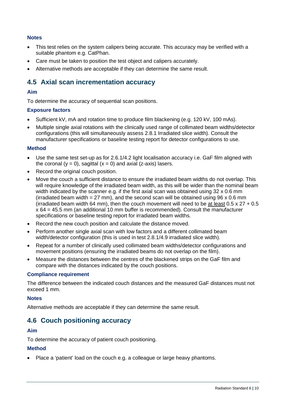## **Notes**

- This test relies on the system calipers being accurate. This accuracy may be verified with a suitable phantom e.g. CatPhan.
- Care must be taken to position the test object and calipers accurately.
- Alternative methods are acceptable if they can determine the same result.

## <span id="page-12-0"></span>**4.5 Axial scan incrementation accuracy**

## **Aim**

To determine the accuracy of sequential scan positions.

## **Exposure factors**

- Sufficient kV, mA and rotation time to produce film blackening (e.g. 120 kV, 100 mAs).
- Multiple single axial rotations with the clinically used range of collimated beam widths/detector configurations (this will simultaneously assess 2.8.1 Irradiated slice width). Consult the manufacturer specifications or baseline testing report for detector configurations to use.

#### **Method**

- Use the same test set-up as for 2.6.1/4.2 light localisation accuracy i.e. GaF film aligned with the coronal  $(y = 0)$ , sagittal  $(x = 0)$  and axial  $(z - axis)$  lasers.
- Record the original couch position.
- Move the couch a sufficient distance to ensure the irradiated beam widths do not overlap. This will require knowledge of the irradiated beam width, as this will be wider than the nominal beam width indicated by the scanner e.g. if the first axial scan was obtained using 32 x 0.6 mm (irradiated beam width = 27 mm), and the second scan will be obtained using 96 x 0.6 mm (irradiated beam width 64 mm), then the couch movement will need to be at least  $0.5 \times 27 + 0.5$ x 64 = 45.5 mm (an additional 10 mm buffer is recommended). Consult the manufacturer specifications or baseline testing report for irradiated beam widths.
- Record the new couch position and calculate the distance moved.
- Perform another single axial scan with low factors and a different collimated beam width/detector configuration (this is used in test 2.8.1/4.9 irradiated slice width).
- Repeat for a number of clinically used collimated beam widths/detector configurations and movement positions (ensuring the irradiated beams do not overlap on the film).
- Measure the distances between the centres of the blackened strips on the GaF film and compare with the distances indicated by the couch positions.

## **Compliance requirement**

The difference between the indicated couch distances and the measured GaF distances must not exceed 1 mm.

## **Notes**

Alternative methods are acceptable if they can determine the same result.

## <span id="page-12-1"></span>**4.6 Couch positioning accuracy**

## **Aim**

To determine the accuracy of patient couch positioning.

## **Method**

• Place a 'patient' load on the couch e.g. a colleague or large heavy phantoms.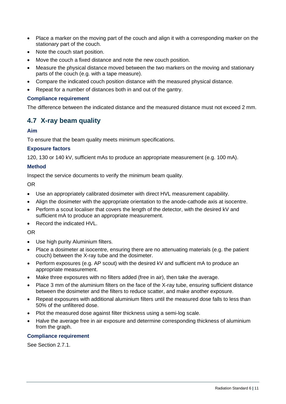- Place a marker on the moving part of the couch and align it with a corresponding marker on the stationary part of the couch.
- Note the couch start position.
- Move the couch a fixed distance and note the new couch position.
- Measure the physical distance moved between the two markers on the moving and stationary parts of the couch (e.g. with a tape measure).
- Compare the indicated couch position distance with the measured physical distance.
- Repeat for a number of distances both in and out of the gantry.

## **Compliance requirement**

The difference between the indicated distance and the measured distance must not exceed 2 mm.

## <span id="page-13-0"></span>**4.7 X-ray beam quality**

#### **Aim**

To ensure that the beam quality meets minimum specifications.

## **Exposure factors**

120, 130 or 140 kV, sufficient mAs to produce an appropriate measurement (e.g. 100 mA).

#### **Method**

Inspect the service documents to verify the minimum beam quality.

OR

- Use an appropriately calibrated dosimeter with direct HVL measurement capability.
- Align the dosimeter with the appropriate orientation to the anode-cathode axis at isocentre.
- Perform a scout localiser that covers the length of the detector, with the desired kV and sufficient mA to produce an appropriate measurement.
- Record the indicated HVL.

## OR

- Use high purity Aluminium filters.
- Place a dosimeter at isocentre, ensuring there are no attenuating materials (e.g. the patient couch) between the X-ray tube and the dosimeter.
- Perform exposures (e.g. AP scout) with the desired kV and sufficient mA to produce an appropriate measurement.
- Make three exposures with no filters added (free in air), then take the average.
- Place 3 mm of the aluminium filters on the face of the X-ray tube, ensuring sufficient distance between the dosimeter and the filters to reduce scatter, and make another exposure.
- Repeat exposures with additional aluminium filters until the measured dose falls to less than 50% of the unfiltered dose.
- Plot the measured dose against filter thickness using a semi-log scale.
- Halve the average free in air exposure and determine corresponding thickness of aluminium from the graph.

#### **Compliance requirement**

See Section 2.7.1.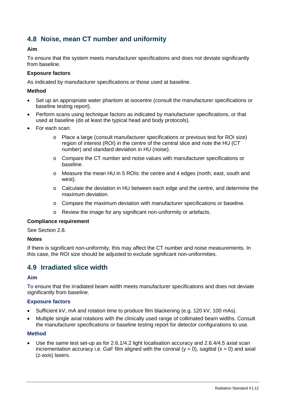## <span id="page-14-0"></span>**4.8 Noise, mean CT number and uniformity**

## **Aim**

To ensure that the system meets manufacturer specifications and does not deviate significantly from baseline.

## **Exposure factors**

As indicated by manufacturer specifications or those used at baseline.

#### **Method**

- Set up an appropriate water phantom at isocentre (consult the manufacturer specifications or baseline testing report).
- Perform scans using technique factors as indicated by manufacturer specifications, or that used at baseline (do at least the typical head and body protocols).
- For each scan:
	- o Place a large (consult manufacturer specifications or previous test for ROI size) region of interest (ROI) in the centre of the central slice and note the HU (CT number) and standard deviation in HU (noise).
	- $\circ$  Compare the CT number and noise values with manufacturer specifications or baseline.
	- o Measure the mean HU in 5 ROIs: the centre and 4 edges (north, east, south and west).
	- o Calculate the deviation in HU between each edge and the centre, and determine the maximum deviation.
	- $\circ$  Compare the maximum deviation with manufacturer specifications or baseline.
	- o Review the image for any significant non-uniformity or artefacts.

#### **Compliance requirement**

See Section 2.8.

#### **Notes**

If there is significant non-uniformity, this may affect the CT number and noise measurements. In this case, the ROI size should be adjusted to exclude significant non-uniformities.

## <span id="page-14-1"></span>**4.9 Irradiated slice width**

## **Aim**

To ensure that the irradiated beam width meets manufacturer specifications and does not deviate significantly from baseline.

## **Exposure factors**

- Sufficient kV, mA and rotation time to produce film blackening (e.g. 120 kV, 100 mAs).
- Multiple single axial rotations with the clinically used range of collimated beam widths. Consult the manufacturer specifications or baseline testing report for detector configurations to use.

## **Method**

• Use the same test set-up as for 2.6.1/4.2 light localisation accuracy and 2.6.4/4.5 axial scan incrementation accuracy i.e. GaF film aligned with the coronal ( $y = 0$ ), sagittal ( $x = 0$ ) and axial (z-axis) lasers.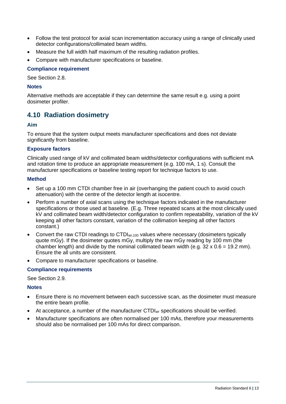- Follow the test protocol for axial scan incrementation accuracy using a range of clinically used detector configurations/collimated beam widths.
- Measure the full width half maximum of the resulting radiation profiles.
- Compare with manufacturer specifications or baseline.

## **Compliance requirement**

See Section 2.8.

#### **Notes**

Alternative methods are acceptable if they can determine the same result e.g. using a point dosimeter profiler.

## <span id="page-15-0"></span>**4.10 Radiation dosimetry**

## **Aim**

To ensure that the system output meets manufacturer specifications and does not deviate significantly from baseline.

## **Exposure factors**

Clinically used range of kV and collimated beam widths/detector configurations with sufficient mA and rotation time to produce an appropriate measurement (e.g. 100 mA, 1 s). Consult the manufacturer specifications or baseline testing report for technique factors to use.

#### **Method**

- Set up a 100 mm CTDI chamber free in air (overhanging the patient couch to avoid couch attenuation) with the centre of the detector length at isocentre.
- Perform a number of axial scans using the technique factors indicated in the manufacturer specifications or those used at baseline. (E.g. Three repeated scans at the most clinically used kV and collimated beam width/detector configuration to confirm repeatability, variation of the kV keeping all other factors constant, variation of the collimation keeping all other factors constant.)
- Convert the raw CTDI readings to CTDI<sub>air,100</sub> values where necessary (dosimeters typically quote mGy). If the dosimeter quotes mGy, multiply the raw mGy reading by 100 mm (the chamber length) and divide by the nominal collimated beam width (e.g.  $32 \times 0.6 = 19.2$  mm). Ensure the all units are consistent.
- Compare to manufacturer specifications or baseline.

## **Compliance requirements**

See Section 2.9.

## **Notes**

- Ensure there is no movement between each successive scan, as the dosimeter must measure the entire beam profile.
- At acceptance, a number of the manufacturer CTDI<sub>air</sub> specifications should be verified.
- Manufacturer specifications are often normalised per 100 mAs, therefore your measurements should also be normalised per 100 mAs for direct comparison.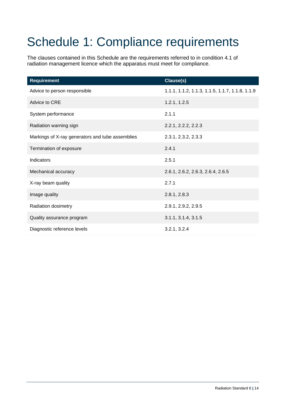## <span id="page-16-0"></span>Schedule 1: Compliance requirements

The clauses contained in this Schedule are the requirements referred to in condition 4.1 of radiation management licence which the apparatus must meet for compliance.

| <b>Requirement</b>                               | <b>Clause(s)</b>                                |
|--------------------------------------------------|-------------------------------------------------|
| Advice to person responsible                     | 1.1.1, 1.1.2, 1.1.3, 1.1.5, 1.1.7, 1.1.8, 1.1.9 |
| Advice to CRE                                    | 1.2.1, 1.2.5                                    |
| System performance                               | 2.1.1                                           |
| Radiation warning sign                           | 2.2.1, 2.2.2, 2.2.3                             |
| Markings of X-ray generators and tube assemblies | 2.3.1, 2.3.2, 2.3.3                             |
| Termination of exposure                          | 2.4.1                                           |
| Indicators                                       | 2.5.1                                           |
| Mechanical accuracy                              | 2.6.1, 2.6.2, 2.6.3, 2.6.4, 2.6.5               |
| X-ray beam quality                               | 2.7.1                                           |
| Image quality                                    | 2.8.1, 2.8.3                                    |
| Radiation dosimetry                              | 2.9.1, 2.9.2, 2.9.5                             |
| Quality assurance program                        | 3.1.1, 3.1.4, 3.1.5                             |
| Diagnostic reference levels                      | 3.2.1, 3.2.4                                    |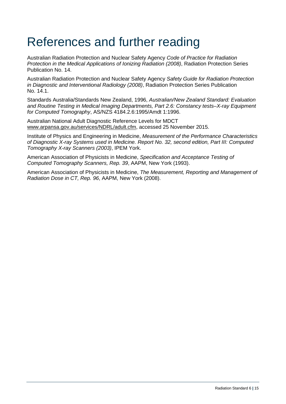## <span id="page-17-0"></span>References and further reading

Australian Radiation Protection and Nuclear Safety Agency *Code of Practice for Radiation Protection in the Medical Applications of Ionizing Radiation (2008)*, Radiation Protection Series Publication No. 14.

Australian Radiation Protection and Nuclear Safety Agency *Safety Guide for Radiation Protection in Diagnostic and Interventional Radiology (2008)*, Radiation Protection Series Publication No. 14.1.

Standards Australia/Standards New Zealand, 1996, *Australian/New Zealand Standard: Evaluation and Routine Testing in Medical Imaging Departments, Part 2.6: Constancy tests–X-ray Equipment for Computed Tomography*, AS/NZS 4184.2.6:1995/Amdt 1:1996.

Australian National Adult Diagnostic Reference Levels for MDCT [www.arpansa.gov.au/services/NDRL/adult.cfm,](http://www.arpansa.gov.au/services/NDRL/adult.cfm) accessed 25 November 2015.

Institute of Physics and Engineering in Medicine, *Measurement of the Performance Characteristics of Diagnostic X-ray Systems used in Medicine. Report No. 32, second edition, Part III: Computed Tomography X-ray Scanners (2003)*, IPEM York.

American Association of Physicists in Medicine, *Specification and Acceptance Testing of Computed Tomography Scanners, Rep. 39*, AAPM, New York (1993).

American Association of Physicists in Medicine, *The Measurement, Reporting and Management of Radiation Dose in CT, Rep. 96*, AAPM, New York (2008).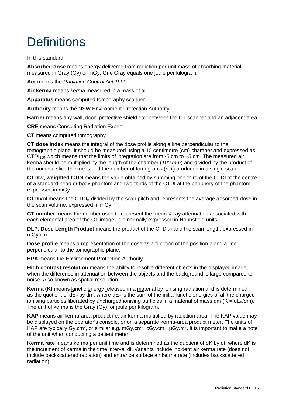## <span id="page-18-0"></span>**Definitions**

In this standard:

**Absorbed dose** means energy delivered from radiation per unit mass of absorbing material, measured in Gray (Gy) or mGy. One Gray equals one joule per kilogram.

**Act** means the *Radiation Control Act 1990*.

**Air kerma** means *kerma* measured in a mass of air.

**Apparatus** means computed tomography scanner.

**Authority** means the NSW Environment Protection Authority.

**Barrier** means any wall, door, protective shield etc. between the CT scanner and an adjacent area.

**CRE** means Consulting Radiation Expert.

**CT** means computed tomography.

**CT dose index** means the integral of the dose profile along a line perpendicular to the tomographic plane. It should be measured using a 10 centimetre (cm) chamber and expressed as CTD $_{100}$  which means that the limits of integration are from -5 cm to +5 cm. The measured air kerma should be multiplied by the length of the chamber (*100 mm*) and divided by the product of the nominal slice thickness and the number of tomograms (*n.T*) produced in a single scan.

**CTDIw, weighted CTDI** means the value obtained by summing one-third of the CTDI at the centre of a standard head or body phantom and two-thirds of the CTDI at the periphery of the phantom, expressed in mGy.

**CTDIvol** means the CTDIw divided by the scan pitch and represents the average absorbed dose in the scan volume, expressed in mGy.

**CT number** means the number used to represent the mean X-ray attenuation associated with each elemental area of the CT image. It is normally expressed in Hounsfield units.

**DLP, Dose Length Product** means the product of the CTDI<sub>vol</sub> and the scan length, expressed in mGy.cm.

**Dose profile** means a representation of the dose as a function of the position along a line perpendicular to the tomographic plane.

**EPA** means the Environment Protection Authority.

**High contrast resolution** means the ability to resolve different objects in the displayed image, when the difference in attenuation between the objects and the background is large compared to noise. Also known as spatial resolution.

**Kerma (K)** means kinetic energy released in a material by ionising radiation and is determined as the quotient of  $dE_{tr}$  by dm, where  $dE_{tr}$  is the sum of the initial kinetic energies of all the charged ionising particles liberated by uncharged ionising particles in a material of mass dm  $(K = dE<sub>tr</sub>/dm)$ . The unit of kerma is the Gray (Gy), or joule per kilogram.

**KAP** means air kerma-area product i.e. air kerma multiplied by radiation area. The KAP value may be displayed on the operator's console, or on a separate kerma-area product meter. The units of KAP are typically Gy.cm<sup>2</sup>, or similar e.g. mGy.cm<sup>2</sup>, cGy.cm<sup>2</sup>,  $\mu$ Gy.m<sup>2</sup>. It is important to make a note of the unit when conducting a patient meter.

**Kerma rate** means kerma per unit time and is determined as the quotient of dK by dt, where dK is the increment of kerma in the time interval dt. Variants include incident air kerma rate (does not include backscattered radiation) and entrance surface air kerma rate (includes backscattered radiation).